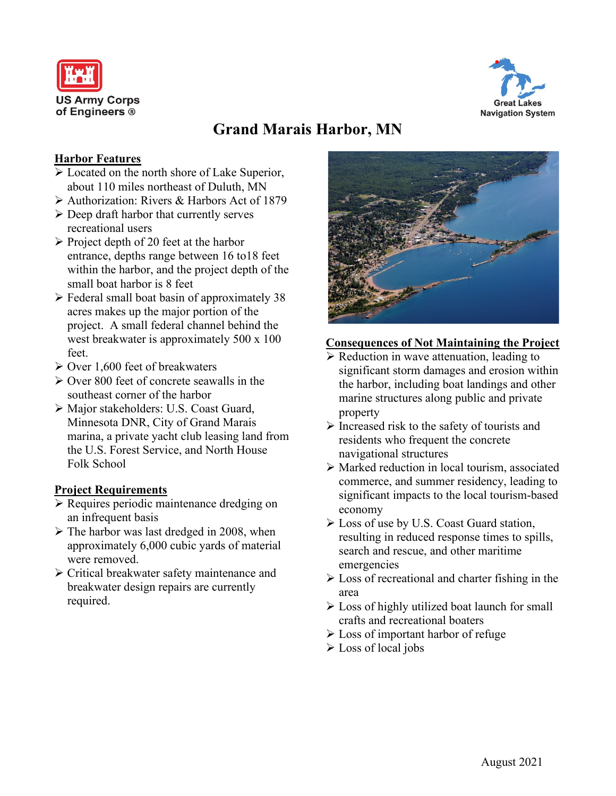



# **Grand Marais Harbor, MN**

#### **Harbor Features**

- $\triangleright$  Located on the north shore of Lake Superior, about 110 miles northeast of Duluth, MN
- Authorization: Rivers & Harbors Act of 1879
- $\triangleright$  Deep draft harbor that currently serves recreational users
- $\triangleright$  Project depth of 20 feet at the harbor entrance, depths range between 16 to18 feet within the harbor, and the project depth of the small boat harbor is 8 feet
- $\triangleright$  Federal small boat basin of approximately 38 acres makes up the major portion of the project. A small federal channel behind the west breakwater is approximately 500 x 100 feet.
- $\triangleright$  Over 1,600 feet of breakwaters
- $\geq$  Over 800 feet of concrete seawalls in the southeast corner of the harbor
- Major stakeholders: U.S. Coast Guard, Minnesota DNR, City of Grand Marais marina, a private yacht club leasing land from the U.S. Forest Service, and North House Folk School

#### **Project Requirements**

- Requires periodic maintenance dredging on an infrequent basis
- $\triangleright$  The harbor was last dredged in 2008, when approximately 6,000 cubic yards of material were removed.
- Critical breakwater safety maintenance and breakwater design repairs are currently required.



#### **Consequences of Not Maintaining the Project**

- $\triangleright$  Reduction in wave attenuation, leading to significant storm damages and erosion within the harbor, including boat landings and other marine structures along public and private property
- $\triangleright$  Increased risk to the safety of tourists and residents who frequent the concrete navigational structures
- Marked reduction in local tourism, associated commerce, and summer residency, leading to significant impacts to the local tourism-based economy
- Loss of use by U.S. Coast Guard station, resulting in reduced response times to spills, search and rescue, and other maritime emergencies
- $\triangleright$  Loss of recreational and charter fishing in the area
- $\triangleright$  Loss of highly utilized boat launch for small crafts and recreational boaters
- Loss of important harbor of refuge
- Loss of local jobs